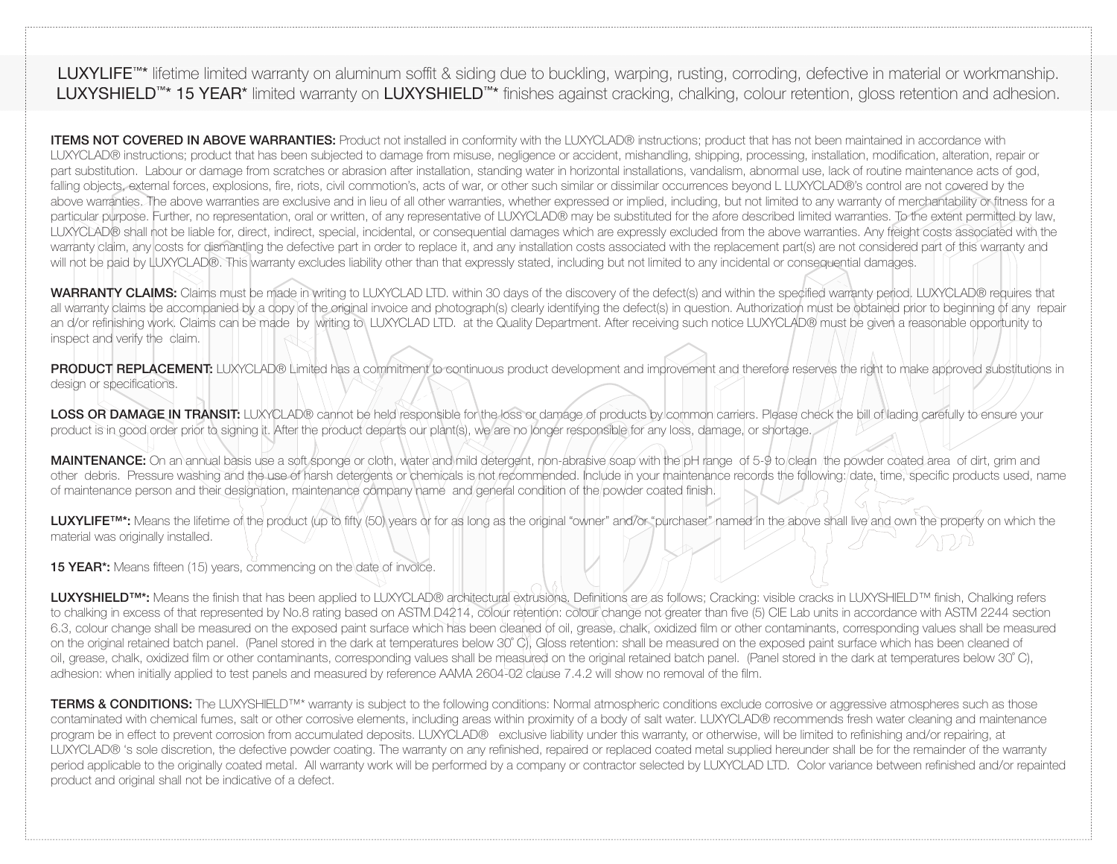LUXYLIFE<sup>™\*</sup> lifetime limited warranty on aluminum soffit & siding due to buckling, warping, rusting, corroding, defective in material or workmanship. LUXYSHIELD™\* 15 YEAR\* limited warranty on LUXYSHIELD™\* finishes against cracking, chalking, colour retention, gloss retention and adhesion.

ITEMS NOT COVERED IN ABOVE WARRANTIES: Product not installed in conformity with the LUXYCLAD® instructions; product that has not been maintained in accordance with LUXYCLAD® instructions; product that has been subjected to damage from misuse, negligence or accident, mishandling, shipping, processing, installation, modification, alteration, repair or part substitution. Labour or damage from scratches or abrasion after installation, standing water in horizontal installations, vandalism, abnormal use, lack of routine maintenance acts of god, falling objects, external forces, explosions, fire, riots, civil commotion's, acts of war, or other such similar or dissimilar occurrences beyond L LUXYCLAD®'s control are not covered by the above warranties. The above warranties are exclusive and in lieu of all other warranties, whether expressed or implied, including, but not limited to any warranty of merchantability or fitness for a particular purpose. Further, no representation, oral or written, of any representative of LUXYCLAD® may be substituted for the afore described limited warranties. To the extent permitted by law, LUXYCLAD® shall not be liable for, direct, indirect, special, incidental, or consequential damages which are expressly excluded from the above warranties. Any freight costs associated with the warranty claim, any costs for dismantling the defective part in order to replace it, and any installation costs associated with the replacement part(s) are not considered part of this warranty and will not be paid by LUXYCLAD®. This warranty excludes liability other than that expressly stated, including but not limited to any incidental or consequential damages.

WARRANTY CLAIMS: Claims must be made in writing to LUXYCLAD LTD. within 30 days of the discovery of the defect(s) and within the specified warranty period. LUXYCLAD® requires that all warranty claims be accompanied by a copy of the original invoice and photograph(s) clearly identifying the defect(s) in question. Authorization must be obtained prior to beginning of any repair an d/or refinishing work. Claims can be made by writing to LUXYCLAD LTD. at the Quality Department. After receiving such notice LUXYCLAD® must be given a reasonable opportunity to inspect and verify the claim.

PRODUCT REPLACEMENT: LUXYCLAD® Limited has a commitment to continuous product development and improvement and therefore reserves the right to make approved substitutions in design or specifications.

LOSS OR DAMAGE IN TRANSIT: LUXYCLAD® cannot be held responsible for the loss or damage of products by common carriers. Please check the bill of lading carefully to ensure your product is in good order prior to signing it. After the product departs our plant(s), we are no longer responsible for any loss, damage, or shortage.

MAINTENANCE: On an annual basis use a soft sponge or cloth, water and mild detergent, non-abrasive soap with the pH range of 5-9 to clean the powder coated area of dirt, grim and other debris. Pressure washing and the use of harsh detergents or chemicals is not recommended. Include in your maintenance records the following: date, time, specifi c products used, name of maintenance person and their designation, maintenance company name and general condition of the powder coated finish.

LUXYLIFE<sup>TM\*</sup>: Means the lifetime of the product (up to fifty (50) years or for as long as the original "owner" and/or "purchaser" named in the above shall live and own the property on which the material was originally installed.

**15 YEAR\*:** Means fifteen (15) years, commencing on the date of invoice.

LUXYSHIELD<sup>™\*</sup>: Means the finish that has been applied to LUXYCLAD® architectural extrusions. Definitions are as follows: Cracking: visible cracks in LUXYSHIELD™ finish, Chalking refers to chalking in excess of that represented by No.8 rating based on ASTM D4214, colour retention: colour change not greater than five (5) CIE Lab units in accordance with ASTM 2244 section 6.3, colour change shall be measured on the exposed paint surface which has been cleaned of oil, grease, chalk, oxidized film or other contaminants, corresponding values shall be measured on the original retained batch panel. (Panel stored in the dark at temperatures below 30° C), Gloss retention: shall be measured on the exposed paint surface which has been cleaned of oil, grease, chalk, oxidized film or other contaminants, corresponding values shall be measured on the original retained batch panel. (Panel stored in the dark at temperatures below 30°C), adhesion: when initially applied to test panels and measured by reference AAMA 2604-02 clause 7.4.2 will show no removal of the film.

TERMS & CONDITIONS: The LUXYSHIELD<sup>TM\*</sup> warranty is subject to the following conditions: Normal atmospheric conditions exclude corrosive or aggressive atmospheres such as those contaminated with chemical fumes, salt or other corrosive elements, including areas within proximity of a body of salt water. LUXYCLAD® recommends fresh water cleaning and maintenance program be in effect to prevent corrosion from accumulated deposits. LUXYCLAD® exclusive liability under this warranty, or otherwise, will be limited to refinishing and/or repairing, at LUXYCLAD® 's sole discretion, the defective powder coating. The warranty on any refinished, repaired or replaced coated metal supplied hereunder shall be for the remainder of the warranty period applicable to the originally coated metal. All warranty work will be performed by a company or contractor selected by LUXYCLAD LTD. Color variance between refinished and/or repainted product and original shall not be indicative of a defect.